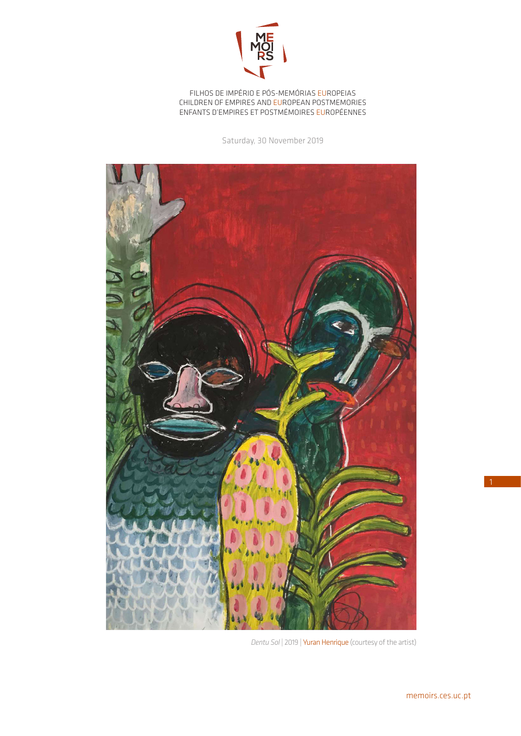

FILHOS DE IMPÉRIO E PÓS-MEMÓRIAS EUROPEIAS CHILDREN OF EMPIRES AND EUROPEAN POSTMEMORIES ENFANTS D'EMPIRES ET POSTMÉMOIRES EUROPÉENNES

Saturday, 30 November 2019



*Dentu Sol* | 2019 | Yuran Henrique (courtesy of the artist)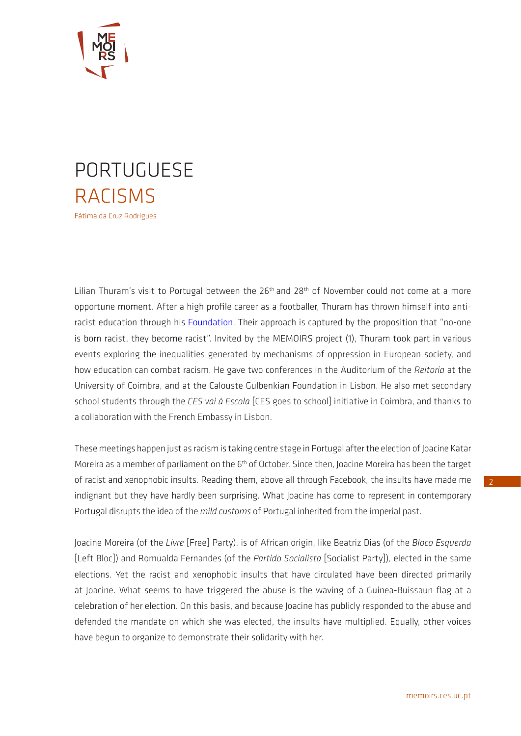

## PORTUGUESE RACISMS Fátima da Cruz Rodrigues

Lilian Thuram's visit to Portugal between the 26<sup>th</sup> and 28<sup>th</sup> of November could not come at a more opportune moment. After a high profile career as a footballer, Thuram has thrown himself into anti-racist education through his [Foundation](https://www.thuram.org/). Their approach is captured by the proposition that "no-one is born racist, they become racist". Invited by the MEMOIRS project (1), Thuram took part in various events exploring the inequalities generated by mechanisms of oppression in European society, and how education can combat racism. He gave two conferences in the Auditorium of the *Reitoria* at the University of Coimbra, and at the Calouste Gulbenkian Foundation in Lisbon. He also met secondary school students through the *CES vai à Escola* [CES goes to school] initiative in Coimbra, and thanks to a collaboration with the French Embassy in Lisbon.

These meetings happen just as racism is taking centre stage in Portugal after the election of Joacine Katar Moreira as a member of parliament on the 6<sup>th</sup> of October. Since then, Joacine Moreira has been the target of racist and xenophobic insults. Reading them, above all through Facebook, the insults have made me indignant but they have hardly been surprising. What Joacine has come to represent in contemporary Portugal disrupts the idea of the *mild customs* of Portugal inherited from the imperial past.

Joacine Moreira (of the *Livre* [Free] Party), is of African origin, like Beatriz Dias (of the *Bloco Esquerda*  [Left Bloc]) and Romualda Fernandes (of the *Partido Socialista* [Socialist Party]), elected in the same elections. Yet the racist and xenophobic insults that have circulated have been directed primarily at Joacine. What seems to have triggered the abuse is the waving of a Guinea-Buissaun flag at a celebration of her election. On this basis, and because Joacine has publicly responded to the abuse and defended the mandate on which she was elected, the insults have multiplied. Equally, other voices have begun to organize to demonstrate their solidarity with her.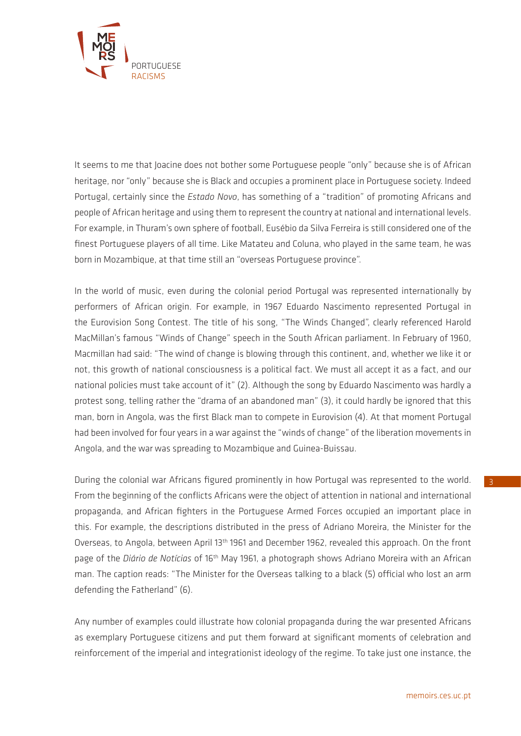

It seems to me that Joacine does not bother some Portuguese people "only" because she is of African heritage, nor "only" because she is Black and occupies a prominent place in Portuguese society. Indeed Portugal, certainly since the *Estado Novo*, has something of a "tradition" of promoting Africans and people of African heritage and using them to represent the country at national and international levels. For example, in Thuram's own sphere of football, Eusébio da Silva Ferreira is still considered one of the finest Portuguese players of all time. Like Matateu and Coluna, who played in the same team, he was born in Mozambique, at that time still an "overseas Portuguese province".

In the world of music, even during the colonial period Portugal was represented internationally by performers of African origin. For example, in 1967 Eduardo Nascimento represented Portugal in the Eurovision Song Contest. The title of his song, "The Winds Changed", clearly referenced Harold MacMillan's famous "Winds of Change" speech in the South African parliament. In February of 1960, Macmillan had said: "The wind of change is blowing through this continent, and, whether we like it or not, this growth of national consciousness is a political fact. We must all accept it as a fact, and our national policies must take account of it" (2). Although the song by Eduardo Nascimento was hardly a protest song, telling rather the "drama of an abandoned man" (3), it could hardly be ignored that this man, born in Angola, was the first Black man to compete in Eurovision (4). At that moment Portugal had been involved for four years in a war against the "winds of change" of the liberation movements in Angola, and the war was spreading to Mozambique and Guinea-Buissau.

During the colonial war Africans figured prominently in how Portugal was represented to the world. From the beginning of the conflicts Africans were the object of attention in national and international propaganda, and African fighters in the Portuguese Armed Forces occupied an important place in this. For example, the descriptions distributed in the press of Adriano Moreira, the Minister for the Overseas, to Angola, between April 13<sup>th</sup> 1961 and December 1962, revealed this approach. On the front page of the *Diário de Notícias* of 16th May 1961, a photograph shows Adriano Moreira with an African man. The caption reads: "The Minister for the Overseas talking to a black (5) official who lost an arm defending the Fatherland" (6).

Any number of examples could illustrate how colonial propaganda during the war presented Africans as exemplary Portuguese citizens and put them forward at significant moments of celebration and reinforcement of the imperial and integrationist ideology of the regime. To take just one instance, the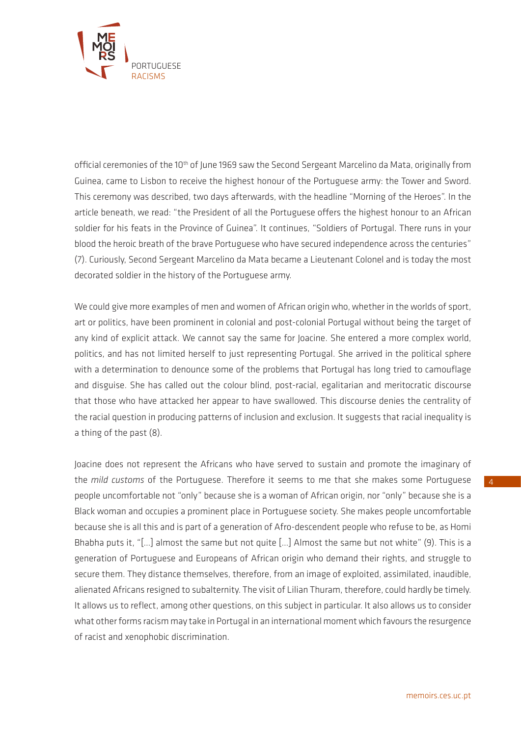

official ceremonies of the 10<sup>th</sup> of June 1969 saw the Second Sergeant Marcelino da Mata, originally from Guinea, came to Lisbon to receive the highest honour of the Portuguese army: the Tower and Sword. This ceremony was described, two days afterwards, with the headline "Morning of the Heroes". In the article beneath, we read: "the President of all the Portuguese offers the highest honour to an African soldier for his feats in the Province of Guinea". It continues, "Soldiers of Portugal. There runs in your blood the heroic breath of the brave Portuguese who have secured independence across the centuries" (7). Curiously, Second Sergeant Marcelino da Mata became a Lieutenant Colonel and is today the most decorated soldier in the history of the Portuguese army.

We could give more examples of men and women of African origin who, whether in the worlds of sport, art or politics, have been prominent in colonial and post-colonial Portugal without being the target of any kind of explicit attack. We cannot say the same for Joacine. She entered a more complex world, politics, and has not limited herself to just representing Portugal. She arrived in the political sphere with a determination to denounce some of the problems that Portugal has long tried to camouflage and disguise. She has called out the colour blind, post-racial, egalitarian and meritocratic discourse that those who have attacked her appear to have swallowed. This discourse denies the centrality of the racial question in producing patterns of inclusion and exclusion. It suggests that racial inequality is a thing of the past (8).

Joacine does not represent the Africans who have served to sustain and promote the imaginary of the *mild customs* of the Portuguese. Therefore it seems to me that she makes some Portuguese people uncomfortable not "only" because she is a woman of African origin, nor "only" because she is a Black woman and occupies a prominent place in Portuguese society. She makes people uncomfortable because she is all this and is part of a generation of Afro-descendent people who refuse to be, as Homi Bhabha puts it, "[…] almost the same but not quite […] Almost the same but not white" (9). This is a generation of Portuguese and Europeans of African origin who demand their rights, and struggle to secure them. They distance themselves, therefore, from an image of exploited, assimilated, inaudible, alienated Africans resigned to subalternity. The visit of Lilian Thuram, therefore, could hardly be timely. It allows us to reflect, among other questions, on this subject in particular. It also allows us to consider what other forms racism may take in Portugal in an international moment which favours the resurgence of racist and xenophobic discrimination.